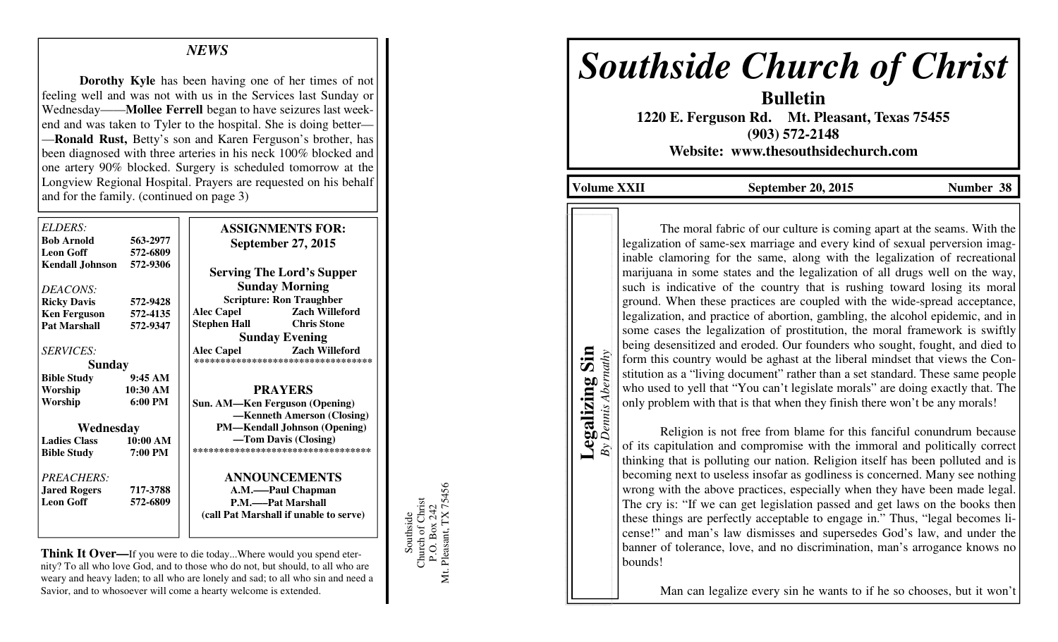## *NEWS*

 **Dorothy Kyle** has been having one of her times of not feeling well and was not with us in the Services last Sunday or Wednesday——**Mollee Ferrell** began to have seizures last weekend and was taken to Tyler to the hospital. She is doing better— —**Ronald Rust,** Betty's son and Karen Ferguson's brother, has been diagnosed with three arteries in his neck 100% blocked and one artery 90% blocked. Surgery is scheduled tomorrow at the Longview Regional Hospital. Prayers are requested on his behalf and for the family. (continued on page 3)

| ELDERS:<br><b>Bob Arnold</b><br>563-2977 |                   | <b>ASSIGNMENTS FOR:</b>                                       |                                        |
|------------------------------------------|-------------------|---------------------------------------------------------------|----------------------------------------|
| <b>Leon Goff</b>                         | 572-6809          | <b>September 27, 2015</b><br><b>Serving The Lord's Supper</b> |                                        |
| Kendall Johnson                          | 572-9306          |                                                               |                                        |
| DEACONS:                                 |                   | <b>Sunday Morning</b>                                         |                                        |
| <b>Ricky Davis</b>                       | 572-9428          | <b>Scripture: Ron Traughber</b>                               |                                        |
| <b>Ken Ferguson</b>                      | 572-4135          | <b>Alec Capel</b>                                             | <b>Zach Willeford</b>                  |
| <b>Pat Marshall</b>                      | 572-9347          | <b>Stephen Hall</b>                                           | <b>Chris Stone</b>                     |
|                                          |                   |                                                               | <b>Sunday Evening</b>                  |
| <i>SERVICES:</i>                         |                   | <b>Alec Capel</b>                                             | <b>Zach Willeford</b>                  |
| <b>Sunday</b>                            |                   |                                                               | ***********************************    |
| <b>Bible Study</b>                       | 9:45AM            |                                                               |                                        |
| Worship                                  | 10:30 AM          | <b>PRAYERS</b>                                                |                                        |
| Worship                                  | $6:00 \text{ PM}$ |                                                               | <b>Sun. AM—Ken Ferguson (Opening)</b>  |
|                                          |                   |                                                               | -Kenneth Amerson (Closing)             |
| Wednesday                                |                   | <b>PM—Kendall Johnson (Opening)</b>                           |                                        |
| <b>Ladies Class</b><br>10:00 AM          |                   | -Tom Davis (Closing)                                          |                                        |
| <b>Bible Study</b>                       | 7:00 PM           | *********************************                             |                                        |
| PREACHERS:                               |                   |                                                               | <b>ANNOUNCEMENTS</b>                   |
| <b>Jared Rogers</b>                      | 717-3788          | A.M.——Paul Chapman                                            |                                        |
| <b>Leon Goff</b>                         | 572-6809          | P.M.——Pat Marshall                                            |                                        |
|                                          |                   |                                                               | (call Pat Marshall if unable to serve) |

**Think It Over—**If you were to die today...Where would you spend eternity? To all who love God, and to those who do not, but should, to all who are weary and heavy laden; to all who are lonely and sad; to all who sin and need a Savior, and to whosoever will come a hearty welcome is extended.

Southside<br>Church of Christ<br>P.O. Box 242<br>Mt. Pleasant, TX 75456 Mt. Pleasant, TX 75456 Church of Christ P.O. Box 242 Southside

# *Southside Church of Christ*

**Bulletin 1220 E. Ferguson Rd. Mt. Pleasant, Texas 75455 (903) 572-2148 Website: www.thesouthsidechurch.com** 

**Volume XXII September 20, 2015 Number 38** 

**Legalizing Sin**  Legalizing Sin *By Dennis Abernathy* 

uthy

Dennis Abe

 The moral fabric of our culture is coming apart at the seams. With the legalization of same-sex marriage and every kind of sexual perversion imaginable clamoring for the same, along with the legalization of recreational marijuana in some states and the legalization of all drugs well on the way, such is indicative of the country that is rushing toward losing its moral ground. When these practices are coupled with the wide-spread acceptance, legalization, and practice of abortion, gambling, the alcohol epidemic, and in some cases the legalization of prostitution, the moral framework is swiftly being desensitized and eroded. Our founders who sought, fought, and died to form this country would be aghast at the liberal mindset that views the Constitution as a "living document" rather than a set standard. These same people who used to yell that "You can't legislate morals" are doing exactly that. The only problem with that is that when they finish there won't be any morals!

 Religion is not free from blame for this fanciful conundrum because of its capitulation and compromise with the immoral and politically correct thinking that is polluting our nation. Religion itself has been polluted and is becoming next to useless insofar as godliness is concerned. Many see nothing wrong with the above practices, especially when they have been made legal. The cry is: "If we can get legislation passed and get laws on the books then these things are perfectly acceptable to engage in." Thus, "legal becomes license!" and man's law dismisses and supersedes God's law, and under the banner of tolerance, love, and no discrimination, man's arrogance knows no bounds!

Man can legalize every sin he wants to if he so chooses, but it won't